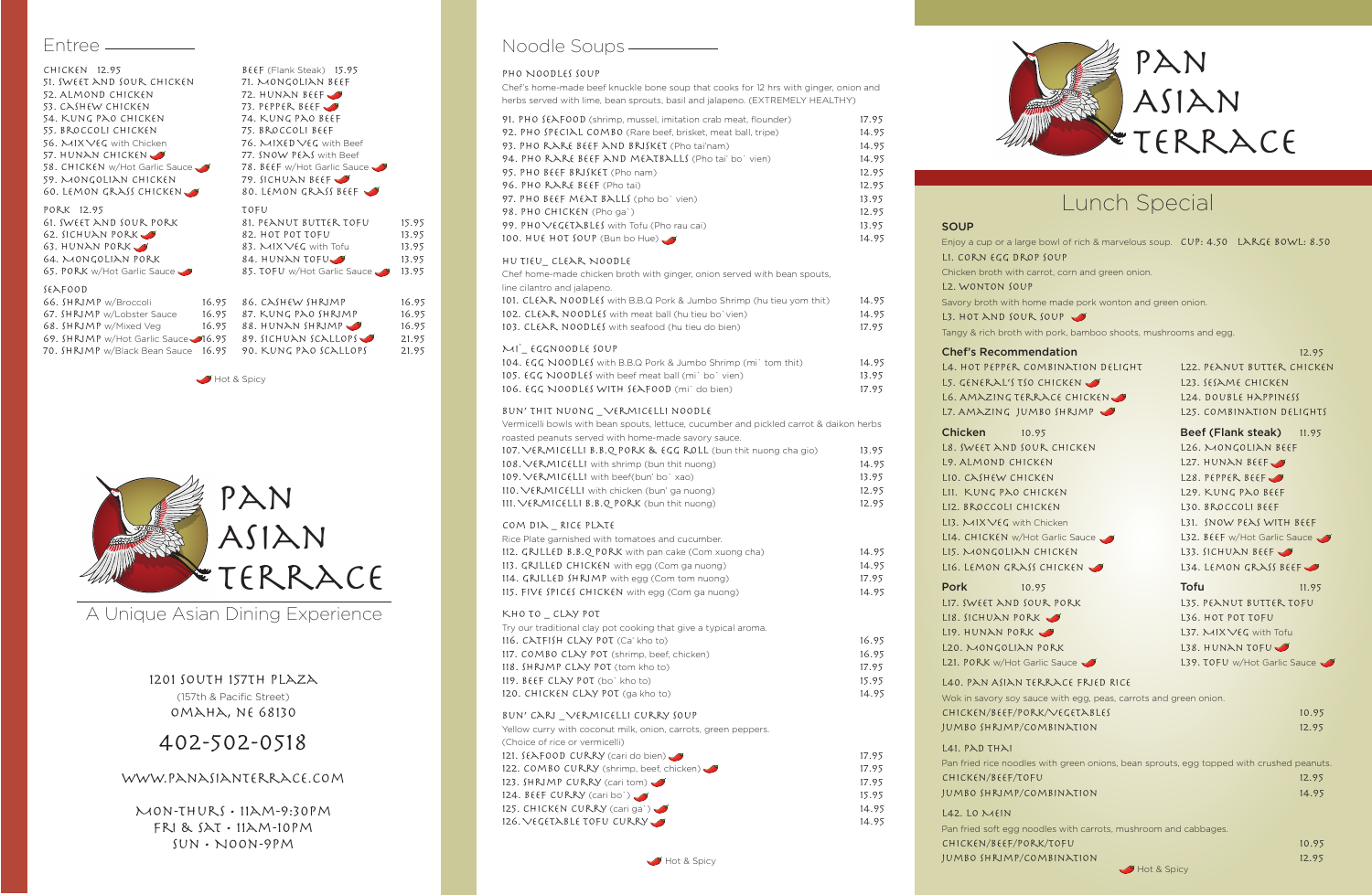

# Lunch Special

1201 South 157th Plaza (157th & Pacific Street) Omaha, ne 68130

# 402-502-0518

#### www.panasianterrace.com

Mon-Thurs • 11am-9:30pm Fri & Sat • 11am-10pm Sun • Noon-9pm

### Noodle Soups ————

#### PHO NOODLES SOUP

| $CHICKEN$ 12.95                     |       | BEEF (Flank Steak) 15.95    |       |  |  |
|-------------------------------------|-------|-----------------------------|-------|--|--|
| 51. SWEET AND SOUR CHICKEN          |       | 71. MONGOLIAN BEEF          |       |  |  |
| 52. ALMOND CHICKEN                  |       | 72. HUNAN BEEF              |       |  |  |
| 53. CASHEW CHICKEN                  |       | 73. PEPPER BEEF             |       |  |  |
| 54. KUNG PAO CHICKEN                |       | 74. KUNG PAO BEEF           |       |  |  |
| 55. BROCCOLI CHICKEN                |       | 75. BROCCOLI BEEF           |       |  |  |
| 56. MIX VEG with Chicken            |       | 76. MIXED VEG with Beef     |       |  |  |
| 57. HUNAN CHICKEN                   |       | 77. SNOW PEAS with Beef     |       |  |  |
| 58. CHICKEN w/Hot Garlic Sauce      |       | 78. BEEF w/Hot Garlic Sauce |       |  |  |
| 59. MONGOLIAN CHICKEN               |       | 79. SICHUAN BEEF            |       |  |  |
| 60. LEMON GRASS CHICKEN             |       | 80. LEMON GRASS BEEF        |       |  |  |
| PORK 12.95                          |       | TOFU                        |       |  |  |
| 61. SWEET AND SOUR PORK             |       | 81. PEANUT BUTTER TOFU      | 15.95 |  |  |
| 62. SICHUAN PORK                    |       | 82. HOT POT TOFU            | 13.95 |  |  |
| 63. HUNAN PORK                      |       | 83. $MIXVEG$ with Tofu      | 13.95 |  |  |
| 64. MONGOLIAN PORK                  |       | 84. HUNAN TOFU $\bigcup$    | 13.95 |  |  |
| 65. PORK w/Hot Garlic Sauce         |       | 85. TOFU w/Hot Garlic Sauce | 13.95 |  |  |
| SEAFOOD                             |       |                             |       |  |  |
| 66. SHRIMP w/Broccoli               | 16.95 | 86. CASHEW SHRIMP           | 16.95 |  |  |
| 67. SHRIMP w/Lobster Sauce          | 16.95 | 87. KUNG PAO SHRIMP         | 16.95 |  |  |
| 68. SHRIMP w/Mixed Veg              |       | $16.95$ 88. HUNAN SHRIMP    | 16.95 |  |  |
| 69. SHRIMP w/Hot Garlic Sauce 16.95 |       | 89. SICHUAN SCALLOPS        | 21.95 |  |  |
| 70. SHRIMP w/Black Bean Sauce       | 16.95 | 90. KUNG PAO SCALLOPS       | 21.95 |  |  |

Hot & Spicy

### Entree

Chef's home-made beef knuckle bone soup that cooks for 12 hrs with ginger, onion and herbs served with lime, bean sprouts, basil and jalapeno. (EXTREMELY HEALTHY)

| 91. PHO $f(\lambda) = 91$ . PHO $f(\lambda) = 91$ . PHO $f(\lambda) = 91$ . PHO $f(\lambda) = 91$ . PHO $f(\lambda) = 91$ . | 17.95 |
|-----------------------------------------------------------------------------------------------------------------------------|-------|
| 92. PHO SPECIAL COMBO (Rare beef, brisket, meat ball, tripe)                                                                | 14.95 |
| 93. PHO RARE BEEF AND BRISKET (Pho tai'nam)                                                                                 | 14.95 |
| 94. PHO RARE BEEF AND MEATBALLS (Pho tai' bo' vien)                                                                         | 14.95 |
| 95. PHO BEEF BRISKET (Pho nam)                                                                                              | 12.95 |
| 96. PHO RARE BEEF (Pho tai)                                                                                                 | 12.95 |
| 97. PHO BEEF MEAT BALLS (pho bo' vien)                                                                                      | 13.95 |
| 98. PHO CHICKEN (Pho ga')                                                                                                   | 12.95 |
| 99. PHO VEGETABLES with Tofu (Pho rau cai)                                                                                  | 13.95 |
| 100. HUE HOT SOUP (Bun bo Hue)                                                                                              | 14.95 |
|                                                                                                                             |       |

Yellow curry with coconut milk, onion, carrots, green peppers. (Choice of rice or vermicelli) 121. SEAFOOD CURRY (cari do bien) 17.95 122. COMBO CURRY (shrimp, beef, chicken) 17.95 123. SHRIMP CURRY (cari tom)  $\sqrt{3}$ 

#### Hu Tieu\_ Clear Noodle

Chef home-made chicken broth with ginger, onion served with bean spouts, line cilantro and jalapeno.

| 101. $CLfAR NOODLff$ with B.B.Q Pork & Jumbo Shrimp (hu tieu yom thit) | 14.95 |
|------------------------------------------------------------------------|-------|
| 102. CLEAR NOODLES with meat ball (hu tieu bo`vien)                    | 14.95 |
| 103. CLEAR NOODLES with seafood (hu tieu do bien)                      | 17.95 |

#### Mi`\_ Eggnoodle Soup

| <b>104. EGG NOODLES</b> with B.B.Q Pork & Jumbo Shrimp (mi) tom thit) | 14.95 |
|-----------------------------------------------------------------------|-------|
| 105. $\epsilon$ GG NOODLES with beef meat ball (mi) boj vien)         | 13.95 |
| 106. EGG NOODLES WITH SEAFOOD (mi` do bien)                           | 17.95 |

#### Bun' thit nuong \_ Vermicelli noodle

Vermicelli bowls with bean spouts, lettuce, cucumber and pickled carrot & daikon herbs

| <u>vermeelin bowla with bear apouta, iettuee, euearniper unu piemeu earrot ocumen nerbal</u> |       |
|----------------------------------------------------------------------------------------------|-------|
| roasted peanuts served with home-made savory sauce.                                          |       |
| 107. VERMICELLI B.B.Q PORK & EGG ROLL (bun thit nuong cha gio)                               | 13.95 |
| 108. VERMICELLI with shrimp (bun thit nuong)                                                 | 14.95 |
| 109. VERMICELLI with beef(bun' bo` xao)                                                      | 13.95 |
| $110. VERMICELLI$ with chicken (bun' ga nuong)                                               | 12.95 |
| 111. VERMICELLI B.B.Q PORK (bun thit nuong)                                                  | 12.95 |
| COM DIA RICE PLATE                                                                           |       |
| Rice Plate garnished with tomatoes and cucumber.                                             |       |
| 112. GRILLED B.B.Q PORK with pan cake (Com xuong cha)                                        | 14.95 |

| 113. GRILLED CHICKEN with egg (Com ga nuong)                    | 14.95 |
|-----------------------------------------------------------------|-------|
| 114. GRILLED SHRIMP with egg (Com tom nuong)                    | 17.95 |
| 115. FIVE $$PICES$ CHICKEN with egg (Com ga nuong)              | 14.95 |
| KHO TO CLAY POT                                                 |       |
| Try our traditional clay pot cooking that give a typical aroma. |       |
| 116. CATFISH CLAY POT (Ca' kho to)                              | 16.95 |
| 117. COMBO CLAY POT (shrimp, beef, chicken)                     | 16.95 |
| 118. SHRIMP CLAY POT (tom kho to)                               | 17.95 |
| 119. BEEF CLAY POT (bo' kho to)                                 | 15.95 |
| 120. CHICKEN CLAY POT (ga kho to)                               | 14.95 |
|                                                                 |       |

#### Bun' Cari \_ Vermicelli Curry Soup

| 124. $B\in F$ CURRY (cari bo`)                        | 15.95 |
|-------------------------------------------------------|-------|
| 125. CHICKEN CURRY (cari ga`) $\bigcup$               | 14.95 |
| 126. $\vee$ egetable tofu curry $\blacktriangleright$ | 14.95 |

#### **SOUP**

Enjoy a cup L1. CORN Chicken bro L2. WONT Savory brot L3. HOT  $\lambda$ Tangy & rich

#### **Chef's** Re

L4. HOT  $P$ L5. GENER L6. AMAZ L7. AMAZ

### $Chicken$

L8. SWEET L9. ALMOI  $L10. C\lambda SH$ L11. KUNG L12. BROCO  $L13. M1X$ L14. CHICK  $L15.$  MON L16. L $EMO$ 

L17.  $SWEET$ L18. SICHU L19.  $HUNA$  $L20.$  MON L21. PORK

 $L40. PAN$ Wok in savor CHICKEN/ JUMBO SH

L41.  $PADT$ Pan fried ric CHICKEN/ JUMBO SH

> L42. Lo  $\lambda$ Pan fried so CHICKEN/ JUMBO SH

| Enjoy a cup or a large bowl of rich & marvelous soup. $CUP: 4.50$ LARGE BOWL: 8.50<br>LI. CORN EGG DROP SOUP |                              |
|--------------------------------------------------------------------------------------------------------------|------------------------------|
| Chicken broth with carrot, corn and green onion.                                                             |                              |
| L2. WONTON SOUP                                                                                              |                              |
| Savory broth with home made pork wonton and green onion.                                                     |                              |
| L3. HOT AND SOUR SOUP                                                                                        |                              |
| Tangy & rich broth with pork, bamboo shoots, mushrooms and egg.                                              |                              |
| <b>Chef's Recommendation</b>                                                                                 | 12.95                        |
| L4. HOT PEPPER COMBINATION DELIGHT                                                                           | L22. PEANUT BUTTER CHICKEN   |
| LS. GENERAL'S TSO CHICKEN                                                                                    | L23. SESAME CHICKEN          |
| LG. AMAZING TERRACE CHICKEN                                                                                  | L24. DOUBLE HAPPINESS        |
| L7. AMAZING JUMBO SHRIMP                                                                                     | L25. COMBINATION DELIGHTS    |
| <b>Chicken</b><br>10.95                                                                                      | Beef (Flank steak) 11.95     |
| L8. SWEET AND SOUR CHICKEN                                                                                   | L26. MONGOLIAN BEEF          |
| L9. ALMOND CHICKEN                                                                                           | L27. HUNAN BEEF              |
| LIO. CASHEW CHICKEN                                                                                          | L28. PEPPER BEEF             |
| LII. KUNG PAO CHICKEN                                                                                        | L29. KUNG PAO BEEF           |
| LI2. BROCCOLI CHICKEN                                                                                        | L30. BROCCOLI BEEF           |
| L13. MIXVEG with Chicken                                                                                     | L31. SNOW PEAS WITH BEEF     |
| L14. CHICKEN w/Hot Garlic Sauce                                                                              | L32. BEEF w/Hot Garlic Sauce |
| LIS. MONGOLIAN CHICKEN                                                                                       | L33. SICHUAN BEEF            |
| LIG. LEMON GRASS CHICKEN                                                                                     | L34. LEMON GRASS BEEF        |
| Pork<br>10.95                                                                                                | Tofu<br>11.95                |
| LI7. SWEET AND SOUR PORK                                                                                     | L35. PEANUT BUTTER TOFU      |
| $L18.$ SICHUAN PORK                                                                                          | L36. HOT POT TOFU            |
| $L19.$ HUNAN PORK $\rightarrow$                                                                              | L37. MIX VEG with Tofu       |
| L20. MONGOLIAN PORK                                                                                          | $L38.$ HUNAN TOFU $\bullet$  |
| L21. PORK w/Hot Garlic Sauce                                                                                 | L39. TOFU w/Hot Garlic Sauce |
| L40. PAN ASIAN TERRACE FRIED RICE                                                                            |                              |
| Wok in savory soy sauce with egg, peas, carrots and green onion.                                             |                              |
| CHICKEN/BEEF/PORK/VEGETABLES                                                                                 | 10.95                        |
| JUMBO SHRIMP/COMBINATION                                                                                     | 12.95                        |
| L41. PAD THAI                                                                                                |                              |
| Pan fried rice noodles with green onions, bean sprouts, egg topped with crushed peanuts.                     |                              |
| CHICKEN/BEEF/TOFU                                                                                            | 12.95                        |
| JUMBO SHRIMP/COMBINATION                                                                                     | 14.95                        |
| $L42.$ LO $MEN$                                                                                              |                              |
| Pan fried soft egg noodles with carrots, mushroom and cabbages.                                              |                              |
| CHICKEN/BEEF/PORK/TOFU                                                                                       | 10.95                        |
| JUMBO SHRIMP/COMBINATION                                                                                     | 12.95                        |
| Hot & Spicy                                                                                                  |                              |



A Unique Asian Dining Experience